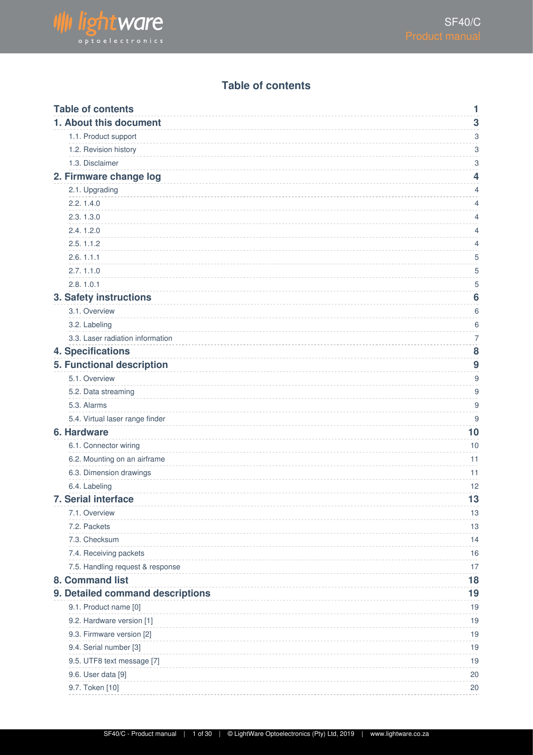

#### **Table of contents**

<span id="page-0-0"></span>

|                                  | 1              |
|----------------------------------|----------------|
| 1. About this document           | 3              |
| 1.1. Product support             | 3              |
| 1.2. Revision history            | 3              |
| 1.3. Disclaimer                  | 3              |
| 2. Firmware change log           | 4              |
| 2.1. Upgrading                   | 4              |
| 2.2.1.4.0                        | 4              |
| 2.3.1.3.0                        | 4              |
| 2.4.1.2.0                        | 4              |
| 2.5.1.1.2                        | 4              |
| 2.6.1.1.1                        | 5              |
| 2.7.1.1.0                        | 5              |
| 2.8.1.0.1                        | 5              |
| 3. Safety instructions           | 6              |
| 3.1. Overview                    | 6              |
| 3.2. Labeling                    | 6              |
| 3.3. Laser radiation information | $\overline{7}$ |
| <b>4. Specifications</b>         | 8              |
| 5. Functional description        | 9              |
| 5.1. Overview                    | 9              |
| 5.2. Data streaming              | 9              |
| 5.3. Alarms                      | 9              |
| 5.4. Virtual laser range finder  | 9              |
| 6. Hardware                      | 10             |
| 6.1. Connector wiring            | 10             |
| 6.2. Mounting on an airframe     | 11             |
| 6.3. Dimension drawings          | 11             |
| 6.4. Labeling                    | 12             |
| 7. Serial interface              | 13             |
| 7.1. Overview                    | 13             |
| 7.2. Packets                     | 13             |
| 7.3. Checksum                    | 14             |
|                                  | 16             |
| 7.4. Receiving packets           | 17             |
| 7.5. Handling request & response |                |
| 8. Command list                  | 18             |
| 9. Detailed command descriptions | 19             |
| 9.1. Product name [0]            | 19             |
| 9.2. Hardware version [1]        | 19             |
| 9.3. Firmware version [2]        | 19             |
| 9.4. Serial number [3]           | 19             |
| 9.5. UTF8 text message [7]       | 19             |
| 9.6. User data [9]               | 20             |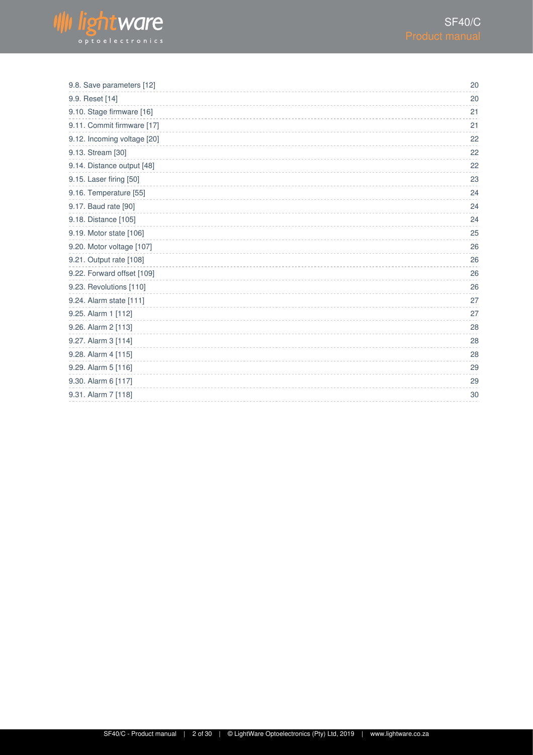

| 20 |
|----|
| 20 |
| 21 |
| 21 |
| 22 |
| 22 |
| 22 |
| 23 |
| 24 |
| 24 |
| 24 |
| 25 |
| 26 |
| 26 |
| 26 |
| 26 |
| 27 |
| 27 |
| 28 |
| 28 |
| 28 |
| 29 |
| 29 |
| 30 |
|    |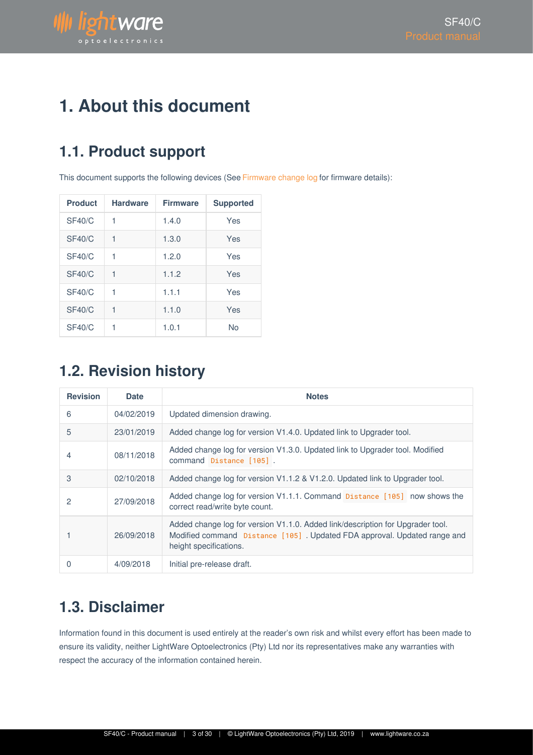

# <span id="page-2-0"></span>**1. About this document**

# <span id="page-2-1"></span>**1.1. Product support**

This document supports the following devices (See Firmware change log for firmware details):

| <b>Product</b> | <b>Hardware</b> | <b>Firmware</b> | <b>Supported</b> |
|----------------|-----------------|-----------------|------------------|
| SF40/C         | 1               | 1.4.0           | Yes              |
| SF40/C         | 1               | 1.3.0           | Yes              |
| <b>SF40/C</b>  | 1               | 1.2.0           | Yes              |
| <b>SF40/C</b>  | 1               | 1.1.2           | Yes              |
| SF40/C         | 1               | 1.1.1           | Yes              |
| SF40/C         | 1               | 1.1.0           | Yes              |
| SF40/C         | 1               | 1.0.1           | <b>No</b>        |

### <span id="page-2-2"></span>**1.2. Revision history**

| <b>Revision</b> | <b>Date</b> | <b>Notes</b>                                                                                                                                                                         |
|-----------------|-------------|--------------------------------------------------------------------------------------------------------------------------------------------------------------------------------------|
| 6               | 04/02/2019  | Updated dimension drawing.                                                                                                                                                           |
| 5               | 23/01/2019  | Added change log for version V1.4.0. Updated link to Upgrader tool.                                                                                                                  |
| 4               | 08/11/2018  | Added change log for version V1.3.0. Updated link to Upgrader tool. Modified<br>command Distance [105].                                                                              |
| 3               | 02/10/2018  | Added change log for version V1.1.2 & V1.2.0. Updated link to Upgrader tool.                                                                                                         |
| 2               | 27/09/2018  | Added change log for version V1.1.1. Command Distance [105] now shows the<br>correct read/write byte count.                                                                          |
|                 | 26/09/2018  | Added change log for version V1.1.0. Added link/description for Upgrader tool.<br>Modified command Distance [105]. Updated FDA approval. Updated range and<br>height specifications. |
| 0               | 4/09/2018   | Initial pre-release draft.                                                                                                                                                           |

### <span id="page-2-3"></span>**1.3. Disclaimer**

Information found in this document is used entirely at the reader's own risk and whilst every effort has been made to ensure its validity, neither LightWare Optoelectronics (Pty) Ltd nor its representatives make any warranties with respect the accuracy of the information contained herein.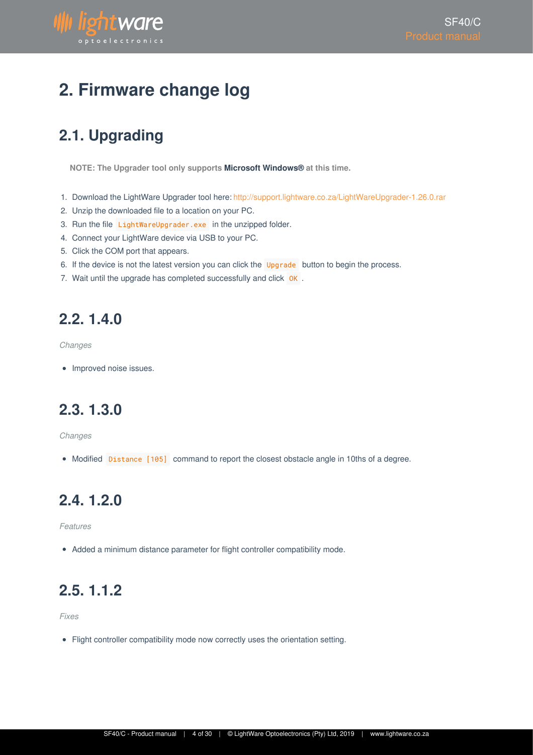

# <span id="page-3-0"></span>**2. Firmware change log**

# <span id="page-3-1"></span>**2.1. Upgrading**

**NOTE: The Upgrader tool only supports Microsoft Windows® at this time.**

- 1. Download the LightWare Upgrader tool here: http://support.lightware.co.za/LightWareUpgrader-1.26.0.rar
- 2. Unzip the downloaded file to a location on your PC.
- 3. Run the file LightWareUpgrader.exe in the unzipped folder.
- 4. Connect your LightWare device via USB to your PC.
- 5. Click the COM port that appears.
- 6. If the device is not the latest version you can click the Upgrade button to begin the process.
- 7. Wait until the upgrade has completed successfully and click OK.

### <span id="page-3-2"></span>**2.2. 1.4.0**

*Changes*

• Improved noise issues.

## <span id="page-3-3"></span>**2.3. 1.3.0**

*Changes*

• Modified Distance [105] command to report the closest obstacle angle in 10ths of a degree.

### <span id="page-3-4"></span>**2.4. 1.2.0**

*Features*

Added a minimum distance parameter for flight controller compatibility mode.

## <span id="page-3-5"></span>**2.5. 1.1.2**

*Fixes*

Flight controller compatibility mode now correctly uses the orientation setting.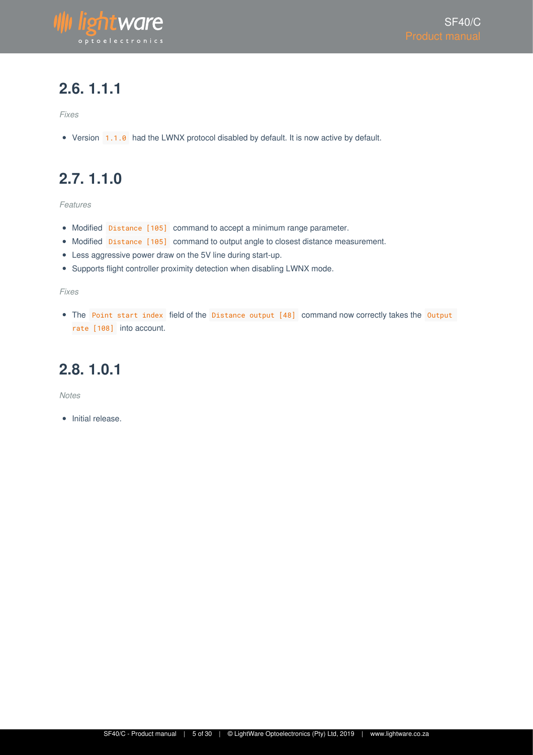

### <span id="page-4-0"></span>**2.6. 1.1.1**

*Fixes*

Version 1.1.0 had the LWNX protocol disabled by default. It is now active by default.

## <span id="page-4-1"></span>**2.7. 1.1.0**

*Features*

- Modified Distance [105] command to accept a minimum range parameter.
- Modified Distance [105] command to output angle to closest distance measurement.
- Less aggressive power draw on the 5V line during start-up.
- Supports flight controller proximity detection when disabling LWNX mode.

*Fixes*

• The Point start index field of the Distance output [48] command now correctly takes the Output rate [108] into account.

#### <span id="page-4-2"></span>**2.8. 1.0.1**

*Notes*

• Initial release.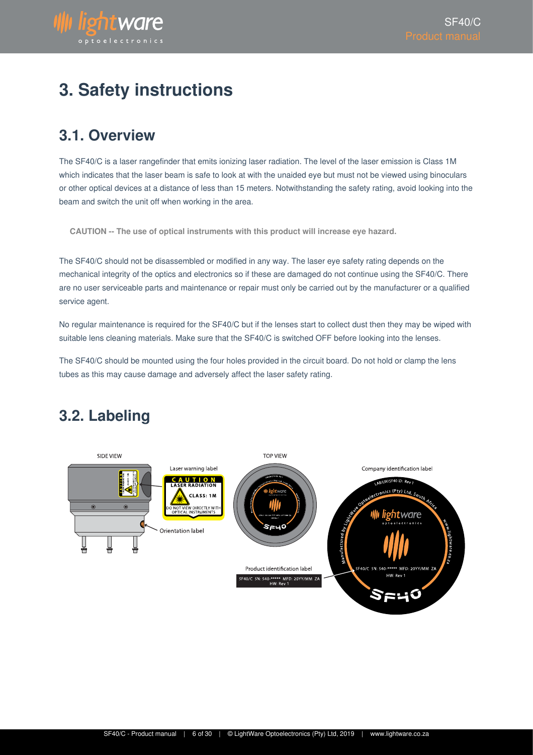# <span id="page-5-0"></span>**3. Safety instructions**

### <span id="page-5-1"></span>**3.1. Overview**

**Wightware** 

optoelectronic

The SF40/C is a laser rangefinder that emits ionizing laser radiation. The level of the laser emission is Class 1M which indicates that the laser beam is safe to look at with the unaided eye but must not be viewed using binoculars or other optical devices at a distance of less than 15 meters. Notwithstanding the safety rating, avoid looking into the beam and switch the unit off when working in the area.

**CAUTION -- The use of optical instruments with this product will increase eye hazard.**

The SF40/C should not be disassembled or modified in any way. The laser eye safety rating depends on the mechanical integrity of the optics and electronics so if these are damaged do not continue using the SF40/C. There are no user serviceable parts and maintenance or repair must only be carried out by the manufacturer or a qualified service agent.

No regular maintenance is required for the SF40/C but if the lenses start to collect dust then they may be wiped with suitable lens cleaning materials. Make sure that the SF40/C is switched OFF before looking into the lenses.

The SF40/C should be mounted using the four holes provided in the circuit board. Do not hold or clamp the lens tubes as this may cause damage and adversely affect the laser safety rating.

### <span id="page-5-2"></span>**3.2. Labeling**

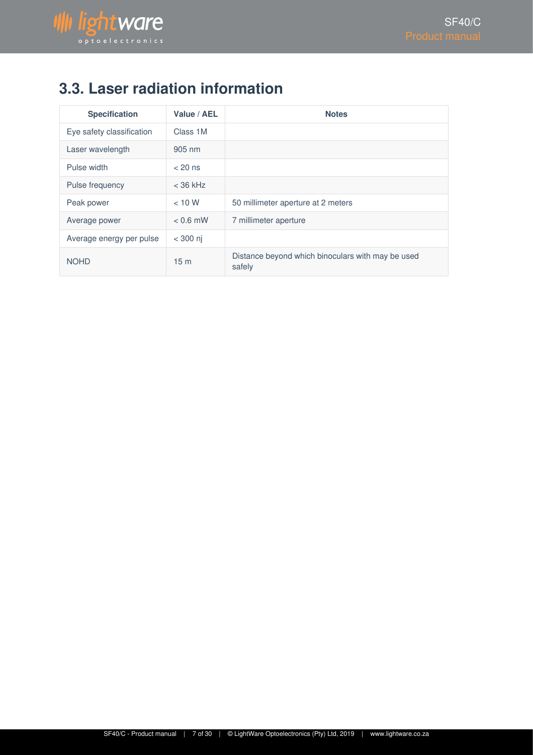

# <span id="page-6-0"></span>**3.3. Laser radiation information**

| <b>Specification</b>      | Value / AEL      | <b>Notes</b>                                                |
|---------------------------|------------------|-------------------------------------------------------------|
| Eye safety classification | Class 1M         |                                                             |
| Laser wavelength          | $905 \text{ nm}$ |                                                             |
| Pulse width               | $< 20$ ns        |                                                             |
| Pulse frequency           | $<$ 36 kHz       |                                                             |
| Peak power                | < 10 W           | 50 millimeter aperture at 2 meters                          |
| Average power             | $< 0.6$ mW       | 7 millimeter aperture                                       |
| Average energy per pulse  | $<$ 300 ni       |                                                             |
| <b>NOHD</b>               | 15 <sub>m</sub>  | Distance beyond which binoculars with may be used<br>safely |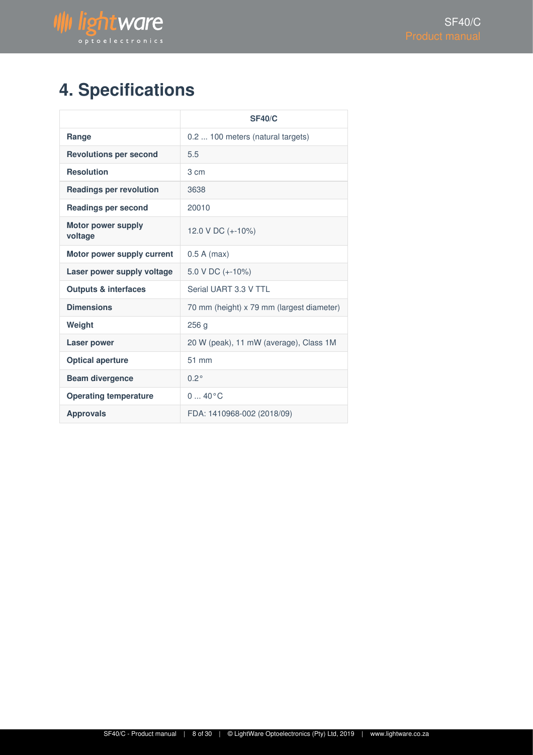

# <span id="page-7-0"></span>**4. Specifications**

|                                      | <b>SF40/C</b>                             |
|--------------------------------------|-------------------------------------------|
| Range                                | 0.2  100 meters (natural targets)         |
| <b>Revolutions per second</b>        | 5.5                                       |
| <b>Resolution</b>                    | 3 cm                                      |
| <b>Readings per revolution</b>       | 3638                                      |
| <b>Readings per second</b>           | 20010                                     |
| <b>Motor power supply</b><br>voltage | 12.0 V DC (+-10%)                         |
| Motor power supply current           | $0.5 A$ (max)                             |
| Laser power supply voltage           | 5.0 V DC (+-10%)                          |
| <b>Outputs &amp; interfaces</b>      | Serial UART 3.3 V TTL                     |
| <b>Dimensions</b>                    | 70 mm (height) x 79 mm (largest diameter) |
| Weight                               | 256q                                      |
| <b>Laser power</b>                   | 20 W (peak), 11 mW (average), Class 1M    |
| <b>Optical aperture</b>              | 51 mm                                     |
| <b>Beam divergence</b>               | $0.2^\circ$                               |
| <b>Operating temperature</b>         | $040^{\circ}C$                            |
| <b>Approvals</b>                     | FDA: 1410968-002 (2018/09)                |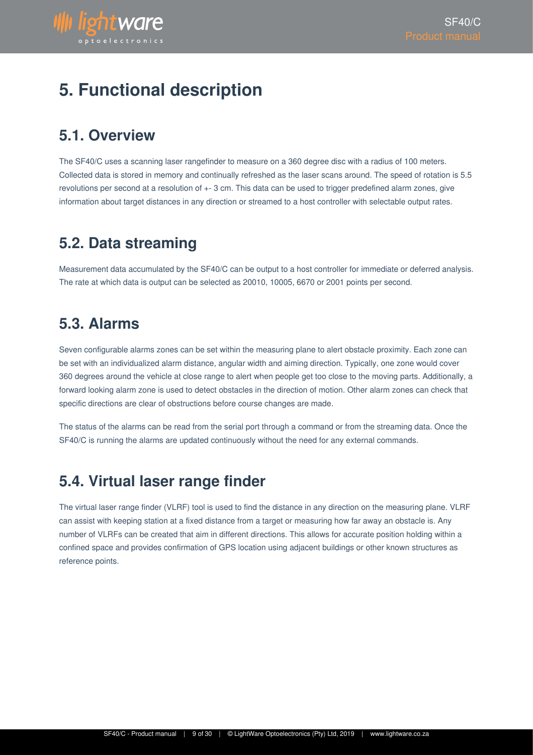

# <span id="page-8-0"></span>**5. Functional description**

### <span id="page-8-1"></span>**5.1. Overview**

The SF40/C uses a scanning laser rangefinder to measure on a 360 degree disc with a radius of 100 meters. Collected data is stored in memory and continually refreshed as the laser scans around. The speed of rotation is 5.5 revolutions per second at a resolution of +- 3 cm. This data can be used to trigger predefined alarm zones, give information about target distances in any direction or streamed to a host controller with selectable output rates.

### <span id="page-8-2"></span>**5.2. Data streaming**

Measurement data accumulated by the SF40/C can be output to a host controller for immediate or deferred analysis. The rate at which data is output can be selected as 20010, 10005, 6670 or 2001 points per second.

### <span id="page-8-3"></span>**5.3. Alarms**

Seven configurable alarms zones can be set within the measuring plane to alert obstacle proximity. Each zone can be set with an individualized alarm distance, angular width and aiming direction. Typically, one zone would cover 360 degrees around the vehicle at close range to alert when people get too close to the moving parts. Additionally, a forward looking alarm zone is used to detect obstacles in the direction of motion. Other alarm zones can check that specific directions are clear of obstructions before course changes are made.

The status of the alarms can be read from the serial port through a command or from the streaming data. Once the SF40/C is running the alarms are updated continuously without the need for any external commands.

### <span id="page-8-4"></span>**5.4. Virtual laser range finder**

The virtual laser range finder (VLRF) tool is used to find the distance in any direction on the measuring plane. VLRF can assist with keeping station at a fixed distance from a target or measuring how far away an obstacle is. Any number of VLRFs can be created that aim in different directions. This allows for accurate position holding within a confined space and provides confirmation of GPS location using adjacent buildings or other known structures as reference points.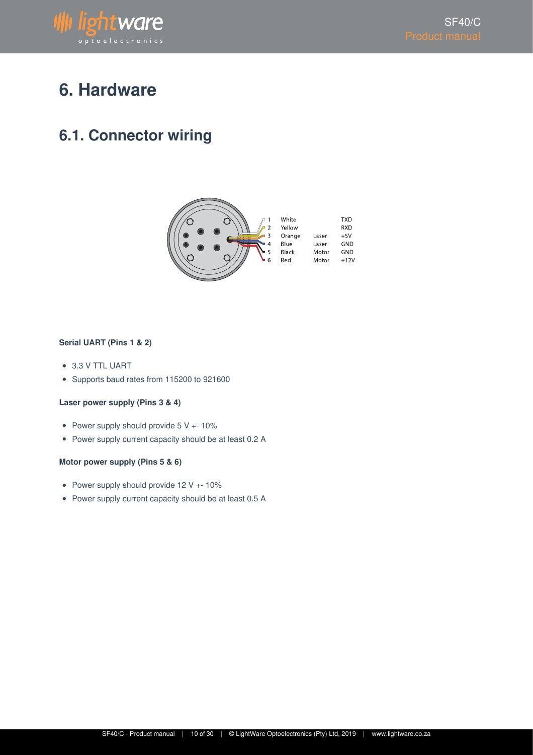

# <span id="page-9-0"></span>**6. Hardware**

### <span id="page-9-1"></span>**6.1. Connector wiring**



#### **Serial UART (Pins 1 & 2)**

- 3.3 V TTL UART
- Supports baud rates from 115200 to 921600

#### **Laser power supply (Pins 3 & 4)**

- Power supply should provide 5 V +- 10%
- Power supply current capacity should be at least 0.2 A

#### **Motor power supply (Pins 5 & 6)**

- Power supply should provide 12 V +- 10%
- Power supply current capacity should be at least 0.5 A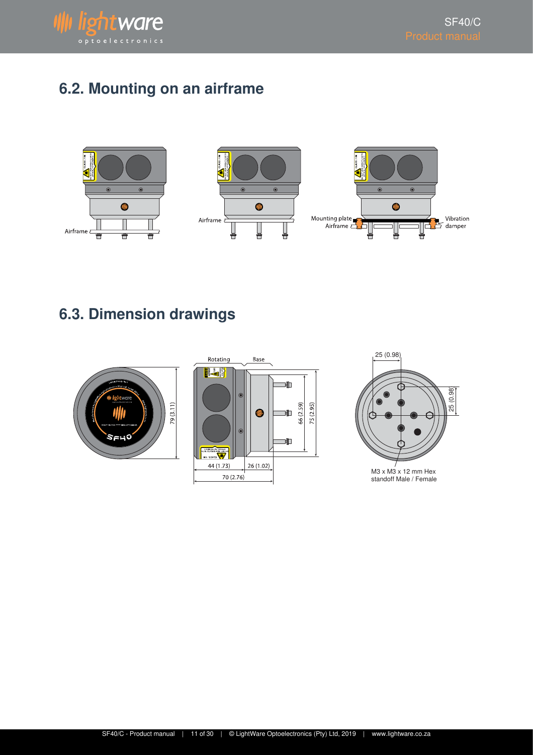

# <span id="page-10-0"></span>**6.2. Mounting on an airframe**







# <span id="page-10-1"></span>**6.3. Dimension drawings**







SF40/C - Product manual | 11 of 30 | © LightWare Optoelectronics (Pty) Ltd, 2019 | www.lightware.co.za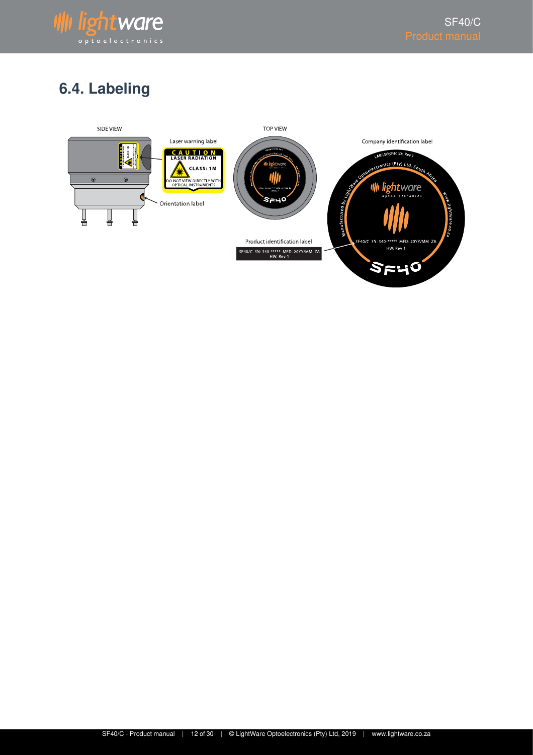

# <span id="page-11-0"></span>**6.4. Labeling**

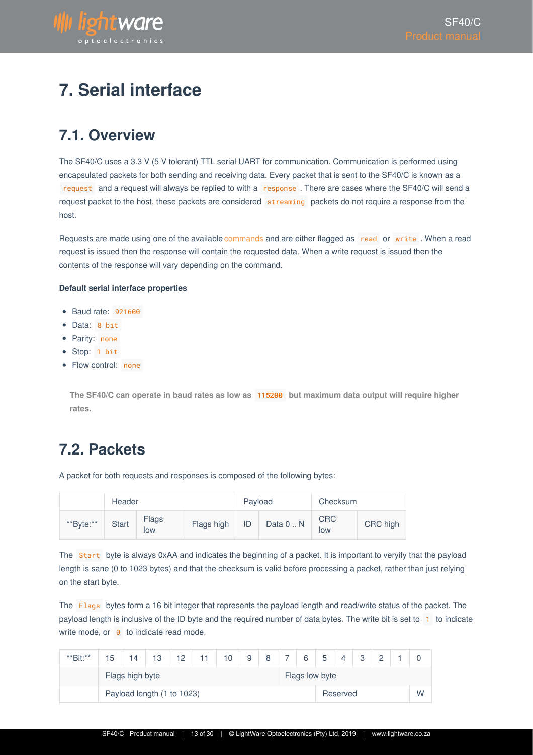

# <span id="page-12-0"></span>**7. Serial interface**

### <span id="page-12-1"></span>**7.1. Overview**

The SF40/C uses a 3.3 V (5 V tolerant) TTL serial UART for communication. Communication is performed using encapsulated packets for both sending and receiving data. Every packet that is sent to the SF40/C is known as a request and a request will always be replied to with a response . There are cases where the SF40/C will send a request packet to the host, these packets are considered streaming packets do not require a response from the host.

Requests are made using one of the available commands and are either flagged as read or write. When a read request is issued then the response will contain the requested data. When a write request is issued then the contents of the response will vary depending on the command.

#### **Default serial interface properties**

- Baud rate: 921600
- Data: 8 bit
- Parity: none
- Stop: 1 bit
- Flow control: none

**The SF40/C can operate in baud rates as low as** 115200 **but maximum data output will require higher rates.**

### <span id="page-12-2"></span>**7.2. Packets**

A packet for both requests and responses is composed of the following bytes:

|           | Header       |              |            |    | Payload   | Checksum          |          |  |
|-----------|--------------|--------------|------------|----|-----------|-------------------|----------|--|
| **Byte:** | <b>Start</b> | Flags<br>low | Flags high | ID | Data 0  N | <b>CRC</b><br>low | CRC high |  |

The Start byte is always 0xAA and indicates the beginning of a packet. It is important to veryify that the payload length is sane (0 to 1023 bytes) and that the checksum is valid before processing a packet, rather than just relying on the start byte.

The Flags bytes form a 16 bit integer that represents the payload length and read/write status of the packet. The payload length is inclusive of the ID byte and the required number of data bytes. The write bit is set to 1 to indicate write mode, or  $\theta$  to indicate read mode.

| **Bit:** | 15                         | 14 | 13 | 12 |  | 10 | 9              | 8 |  | 6 | 片        |  | $\Omega$ | $\Omega$ |  |
|----------|----------------------------|----|----|----|--|----|----------------|---|--|---|----------|--|----------|----------|--|
|          | Flags high byte            |    |    |    |  |    | Flags low byte |   |  |   |          |  |          |          |  |
|          | Payload length (1 to 1023) |    |    |    |  |    |                |   |  |   | Reserved |  |          | W        |  |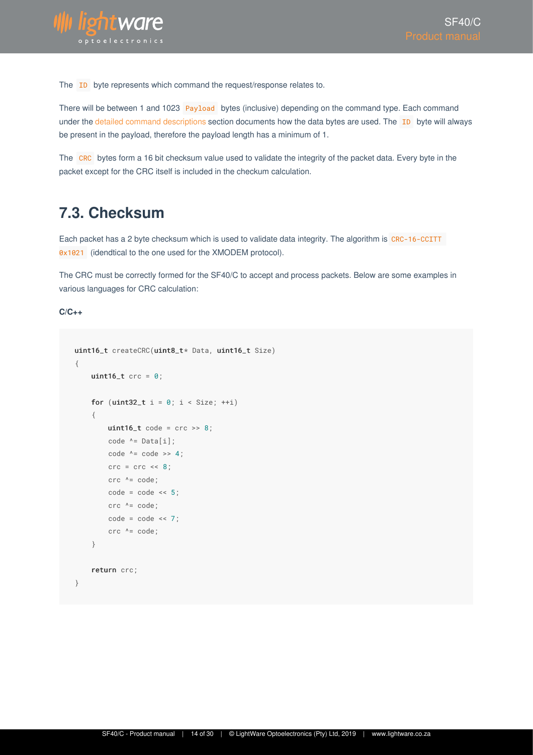

The **ID** byte represents which command the request/response relates to.

There will be between 1 and 1023 Payload bytes (inclusive) depending on the command type. Each command under the detailed command descriptions section documents how the data bytes are used. The ID byte will always be present in the payload, therefore the payload length has a minimum of 1.

The CRC bytes form a 16 bit checksum value used to validate the integrity of the packet data. Every byte in the packet except for the CRC itself is included in the checkum calculation.

### <span id="page-13-0"></span>**7.3. Checksum**

Each packet has a 2 byte checksum which is used to validate data integrity. The algorithm is CRC-16-CCITT 0x1021 (idendtical to the one used for the XMODEM protocol).

The CRC must be correctly formed for the SF40/C to accept and process packets. Below are some examples in various languages for CRC calculation:

**C/C++**

```
uint16_t createCRC(uint8_t* Data, uint16_t Size)
{
     uint16_t crc = 0;
     for (uint32_t i = 0; i < Size; ++i)
      {
         uint16_t code = crc \gg 8;code ^{\wedge} = Data[i];
         code ^{\wedge} = code >> 4;
         \text{crc} = \text{crc} \ll 8;
         \text{crc} ^= code;
         code = code \leq 5;\text{crc} ^= code;
         code = code \le 7;
          crc ^= code;
      }
      return crc;
}
```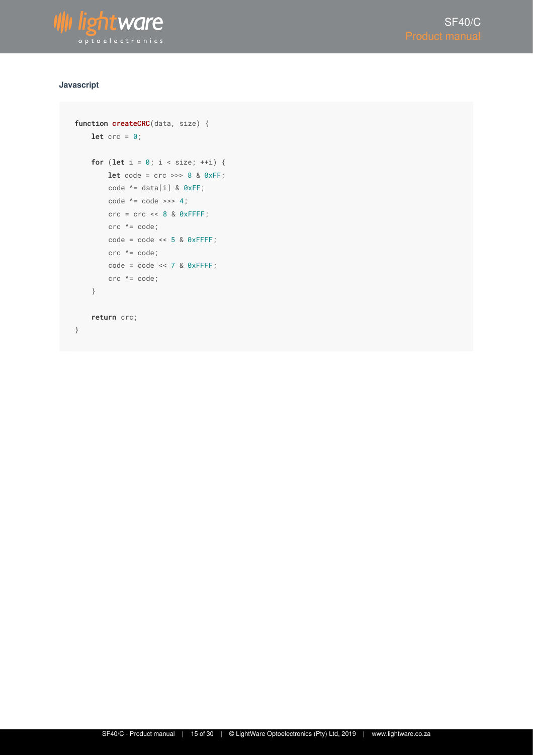

#### **Javascript**

```
function createCRC(data, size) {
    let \text{crc} = \theta;
    for (let i = 0; i < size; ++i) {
        let code = crc \gg 8 & 0xFF;
         code ^= data[i] & 0xFF;
        code^{-k} = code \implies 4;\text{crc} = \text{crc} \ll 8 & \theta \text{xFFFF};
        \text{crc} ^= \text{code};
        code = code \leq 5 \& 0xFFF; crc ^= code;
        code = code \le 7 & 0xFFFF;
         crc ^= code;
     }
     return crc;
}
```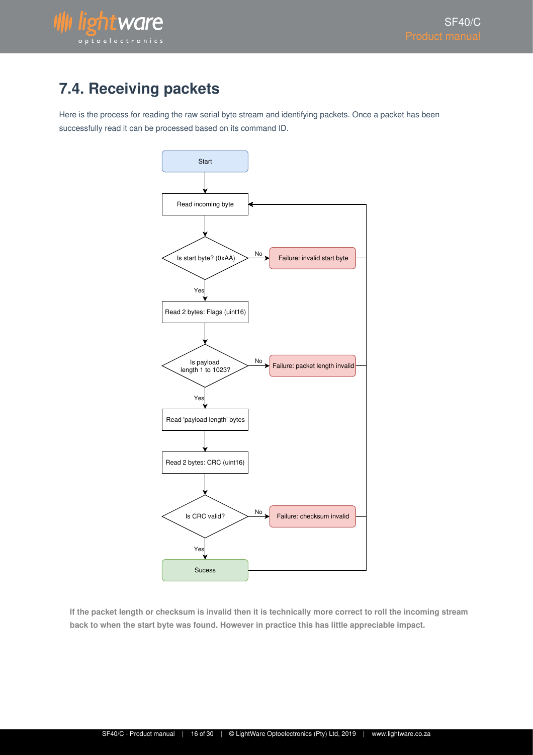

## <span id="page-15-0"></span>**7.4. Receiving packets**

Here is the process for reading the raw serial byte stream and identifying packets. Once a packet has been successfully read it can be processed based on its command ID.



**If the packet length or checksum is invalid then it is technically more correct to roll the incoming stream back to when the start byte was found. However in practice this has little appreciable impact.**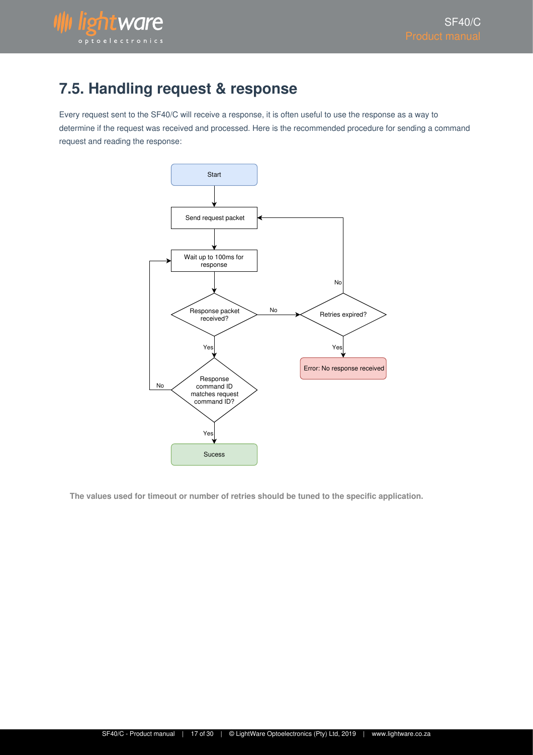

## <span id="page-16-0"></span>**7.5. Handling request & response**

Every request sent to the SF40/C will receive a response, it is often useful to use the response as a way to determine if the request was received and processed. Here is the recommended procedure for sending a command request and reading the response:



**The values used for timeout or number of retries should be tuned to the specific application.**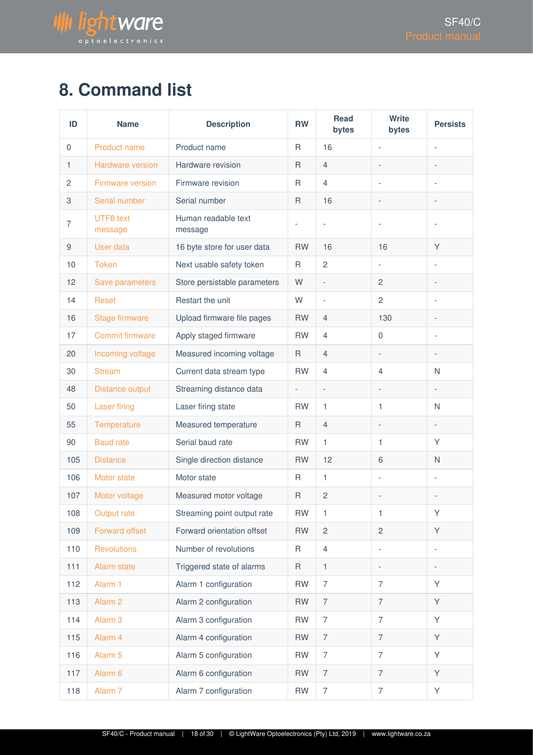

# <span id="page-17-0"></span>**8. Command list**

| ID          | <b>Name</b>                 | <b>Description</b>             | <b>RW</b>    | <b>Read</b><br>bytes | <b>Write</b><br>bytes    | <b>Persists</b>          |
|-------------|-----------------------------|--------------------------------|--------------|----------------------|--------------------------|--------------------------|
| $\mathbf 0$ | <b>Product name</b>         | Product name                   | $\mathsf{R}$ | 16                   |                          |                          |
| 1           | Hardware version            | Hardware revision              | $\mathsf{R}$ | $\overline{4}$       | $\overline{a}$           | $\overline{a}$           |
| 2           | <b>Firmware version</b>     | Firmware revision              | R            | 4                    | $\overline{a}$           | ٠                        |
| 3           | Serial number               | Serial number                  | R            | 16                   |                          | $\overline{a}$           |
| 7           | <b>UTF8</b> text<br>message | Human readable text<br>message |              |                      |                          |                          |
| 9           | User data                   | 16 byte store for user data    | <b>RW</b>    | 16                   | 16                       | Y                        |
| 10          | <b>Token</b>                | Next usable safety token       | $\mathsf R$  | $\overline{c}$       |                          |                          |
| 12          | Save parameters             | Store persistable parameters   | W            | $\overline{a}$       | $\overline{2}$           | $\overline{a}$           |
| 14          | Reset                       | Restart the unit               | W            | L,                   | $\overline{c}$           | L,                       |
| 16          | <b>Stage firmware</b>       | Upload firmware file pages     | <b>RW</b>    | 4                    | 130                      | $\overline{a}$           |
| 17          | <b>Commit firmware</b>      | Apply staged firmware          | <b>RW</b>    | $\overline{4}$       | $\overline{0}$           |                          |
| 20          | Incoming voltage            | Measured incoming voltage      | $\mathsf{R}$ | 4                    | $\overline{\phantom{0}}$ | $\overline{a}$           |
| 30          | <b>Stream</b>               | Current data stream type       | <b>RW</b>    | 4                    | 4                        | N                        |
| 48          | Distance output             | Streaming distance data        |              | $\overline{a}$       |                          |                          |
| 50          | <b>Laser firing</b>         | Laser firing state             | <b>RW</b>    | 1                    | 1                        | N                        |
| 55          | Temperature                 | Measured temperature           | R            | $\overline{4}$       |                          | $\frac{1}{2}$            |
| 90          | <b>Baud rate</b>            | Serial baud rate               | <b>RW</b>    | 1                    | 1                        | Y                        |
| 105         | <b>Distance</b>             | Single direction distance      | <b>RW</b>    | 12                   | 6                        | N                        |
| 106         | Motor state                 | Motor state                    | R            | 1                    | $\overline{\phantom{0}}$ | L,                       |
| 107         | Motor voltage               | Measured motor voltage         | R            | $\overline{2}$       |                          |                          |
| 108         | Output rate                 | Streaming point output rate    | ${\sf RW}$   | 1                    | 1                        | Y                        |
| 109         | Forward offset              | Forward orientation offset     | <b>RW</b>    | $\overline{c}$       | $\overline{c}$           | Y                        |
| 110         | <b>Revolutions</b>          | Number of revolutions          | R            | $\overline{4}$       | $\overline{\phantom{a}}$ | $\overline{\phantom{0}}$ |
| $111$       | Alarm state                 | Triggered state of alarms      | $\mathsf{R}$ | 1                    | $\overline{\phantom{0}}$ | $\overline{\phantom{0}}$ |
| 112         | Alarm 1                     | Alarm 1 configuration          | <b>RW</b>    | $\overline{7}$       | $\overline{7}$           | Υ                        |
| 113         | Alarm <sub>2</sub>          | Alarm 2 configuration          | <b>RW</b>    | $\overline{7}$       | $\overline{7}$           | Y                        |
| 114         | Alarm <sub>3</sub>          | Alarm 3 configuration          | <b>RW</b>    | $\overline{7}$       | $\overline{7}$           | Y                        |
| 115         | Alarm 4                     | Alarm 4 configuration          | <b>RW</b>    | $\overline{7}$       | $\overline{7}$           | Y                        |
| 116         | Alarm <sub>5</sub>          | Alarm 5 configuration          | <b>RW</b>    | $\overline{7}$       | $\overline{7}$           | Υ                        |
| 117         | Alarm <sub>6</sub>          | Alarm 6 configuration          | <b>RW</b>    | $\overline{7}$       | $\overline{7}$           | Y                        |
| 118         | Alarm <sub>7</sub>          | Alarm 7 configuration          | <b>RW</b>    | $\overline{7}$       | $\overline{7}$           | Υ                        |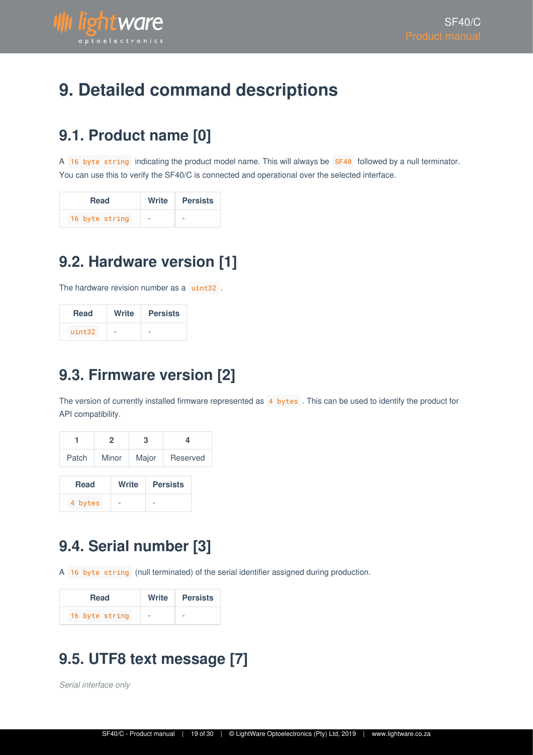

# <span id="page-18-0"></span>**9. Detailed command descriptions**

## <span id="page-18-1"></span>**9.1. Product name [0]**

A 16 byte string indicating the product model name. This will always be SF40 followed by a null terminator. You can use this to verify the SF40/C is connected and operational over the selected interface.

| <b>Read</b>    | Write | <b>Persists</b> |
|----------------|-------|-----------------|
| 16 byte string | -     |                 |

# <span id="page-18-2"></span>**9.2. Hardware version [1]**

The hardware revision number as a uint32.

| <b>Read</b> | Write | <b>Persists</b> |
|-------------|-------|-----------------|
| uint32      |       |                 |

## <span id="page-18-3"></span>**9.3. Firmware version [2]**

The version of currently installed firmware represented as 4 bytes. This can be used to identify the product for API compatibility.

|             | 2     |       | 3     |  | 4               |  |
|-------------|-------|-------|-------|--|-----------------|--|
| Patch       | Minor |       | Major |  | Reserved        |  |
| <b>Read</b> |       | Write |       |  | <b>Persists</b> |  |
| 4 bytes     |       |       |       |  |                 |  |

# <span id="page-18-4"></span>**9.4. Serial number [3]**

A 16 byte string (null terminated) of the serial identifier assigned during production.

| <b>Read</b>    | Write | <b>Persists</b> |
|----------------|-------|-----------------|
| 16 byte string | -     |                 |

# <span id="page-18-5"></span>**9.5. UTF8 text message [7]**

*Serial interface only*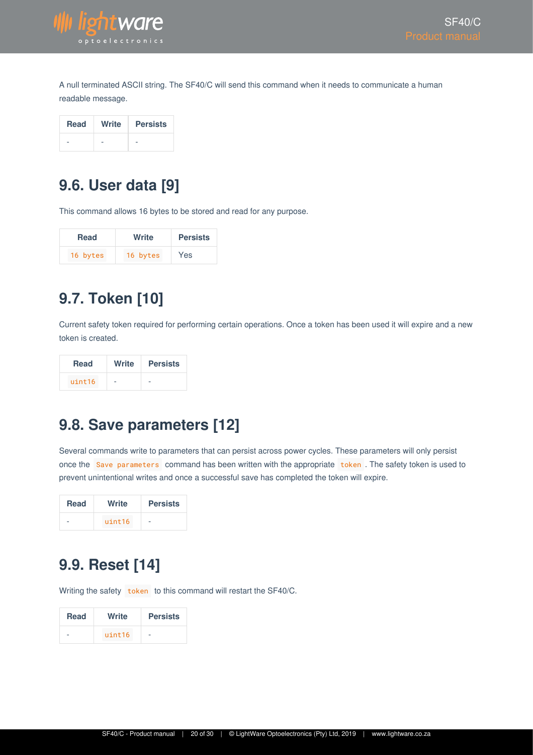

A null terminated ASCII string. The SF40/C will send this command when it needs to communicate a human readable message.

| <b>Read</b> | Write | <b>Persists</b> |
|-------------|-------|-----------------|
|             |       |                 |

## <span id="page-19-0"></span>**9.6. User data [9]**

This command allows 16 bytes to be stored and read for any purpose.

| <b>Read</b> | Write    | <b>Persists</b> |
|-------------|----------|-----------------|
| 16 bytes    | 16 bytes | Yes             |

# <span id="page-19-1"></span>**9.7. Token [10]**

Current safety token required for performing certain operations. Once a token has been used it will expire and a new token is created.

| <b>Read</b> | Write | <b>Persists</b> |
|-------------|-------|-----------------|
| uint16      |       |                 |

## <span id="page-19-2"></span>**9.8. Save parameters [12]**

Several commands write to parameters that can persist across power cycles. These parameters will only persist once the Save parameters command has been written with the appropriate token. The safety token is used to prevent unintentional writes and once a successful save has completed the token will expire.

| <b>Read</b> | Write  | <b>Persists</b> |
|-------------|--------|-----------------|
|             | uint16 |                 |

### <span id="page-19-3"></span>**9.9. Reset [14]**

Writing the safety token to this command will restart the SF40/C.

| <b>Read</b> | Write  | <b>Persists</b> |
|-------------|--------|-----------------|
|             | uint16 |                 |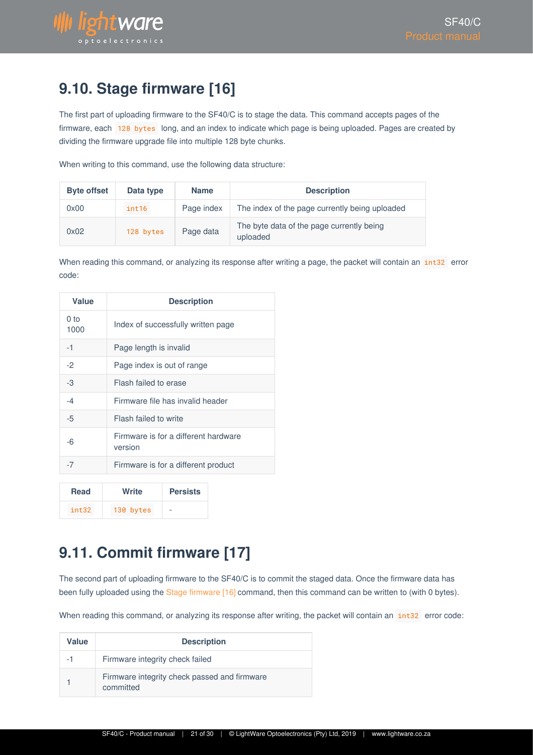

## <span id="page-20-0"></span>**9.10. Stage firmware [16]**

The first part of uploading firmware to the SF40/C is to stage the data. This command accepts pages of the firmware, each 128 bytes long, and an index to indicate which page is being uploaded. Pages are created by dividing the firmware upgrade file into multiple 128 byte chunks.

When writing to this command, use the following data structure:

| <b>Byte offset</b> | Data type | <b>Name</b> | <b>Description</b>                                    |
|--------------------|-----------|-------------|-------------------------------------------------------|
| 0x00               | int16     | Page index  | The index of the page currently being uploaded        |
| 0x02               | 128 bytes | Page data   | The byte data of the page currently being<br>uploaded |

When reading this command, or analyzing its response after writing a page, the packet will contain an int32 error code:

| Value                   | <b>Description</b>                              |
|-------------------------|-------------------------------------------------|
| 0 <sub>to</sub><br>1000 | Index of successfully written page              |
| -1                      | Page length is invalid                          |
| $-2$                    | Page index is out of range                      |
| -3                      | Flash failed to erase                           |
| $-4$                    | Firmware file has invalid header                |
| -5                      | Flash failed to write                           |
| -6                      | Firmware is for a different hardware<br>version |
| $-7$                    | Firmware is for a different product             |

| Read  | Write     | <b>Persists</b> |
|-------|-----------|-----------------|
| int32 | 130 bytes | -               |

# <span id="page-20-1"></span>**9.11. Commit firmware [17]**

The second part of uploading firmware to the SF40/C is to commit the staged data. Once the firmware data has been fully uploaded using the Stage firmware [16] command, then this command can be written to (with 0 bytes).

When reading this command, or analyzing its response after writing, the packet will contain an int32 error code:

| Value | <b>Description</b>                                        |  |  |
|-------|-----------------------------------------------------------|--|--|
| $-1$  | Firmware integrity check failed                           |  |  |
|       | Firmware integrity check passed and firmware<br>committed |  |  |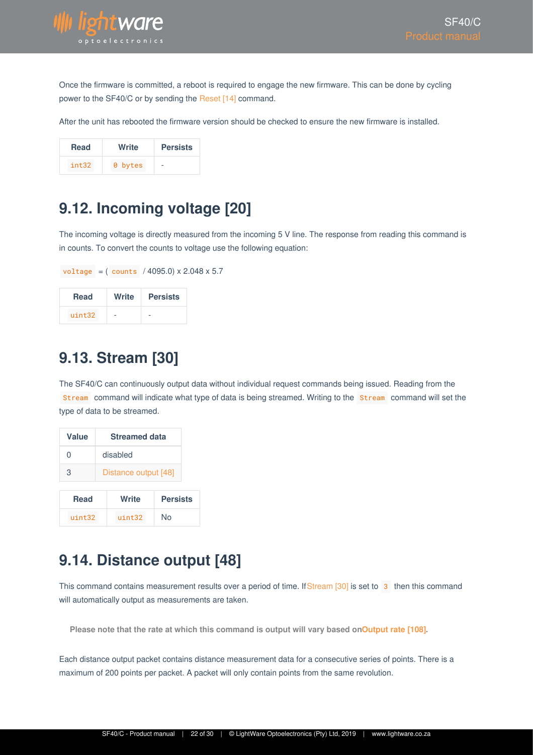

Once the firmware is committed, a reboot is required to engage the new firmware. This can be done by cycling power to the SF40/C or by sending the Reset [14] command.

After the unit has rebooted the firmware version should be checked to ensure the new firmware is installed.

| Read  | Write   | <b>Persists</b> |
|-------|---------|-----------------|
| int32 | 0 bytes | -               |

## <span id="page-21-0"></span>**9.12. Incoming voltage [20]**

The incoming voltage is directly measured from the incoming 5 V line. The response from reading this command is in counts. To convert the counts to voltage use the following equation:

|             |  | voltage = $($ counts $/$ 4095.0) x 2.048 x 5.7 |  |
|-------------|--|------------------------------------------------|--|
| <b>Read</b> |  | Write   Persists                               |  |
|             |  |                                                |  |

# <span id="page-21-1"></span>**9.13. Stream [30]**

 $uint32$ 

The SF40/C can continuously output data without individual request commands being issued. Reading from the Stream command will indicate what type of data is being streamed. Writing to the Stream command will set the type of data to be streamed.

| Value       | <b>Streamed data</b>     |              |    |
|-------------|--------------------------|--------------|----|
| O           | disabled                 |              |    |
| 3           | Distance output [48]     |              |    |
| <b>Read</b> | Write<br><b>Persists</b> |              |    |
| uint32      |                          | $u$ int $32$ | N٥ |

### <span id="page-21-2"></span>**9.14. Distance output [48]**

This command contains measurement results over a period of time. If Stream [30] is set to 3 then this command will automatically output as measurements are taken.

Please note that the rate at which this command is output will vary based on Output rate [108].

Each distance output packet contains distance measurement data for a consecutive series of points. There is a maximum of 200 points per packet. A packet will only contain points from the same revolution.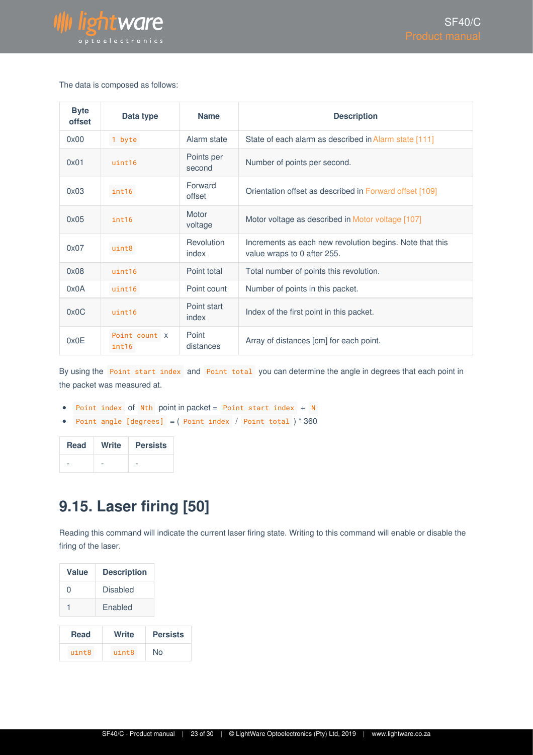

#### The data is composed as follows:

| <b>Byte</b><br>offset | Data type              | <b>Name</b>          | <b>Description</b>                                                                      |
|-----------------------|------------------------|----------------------|-----------------------------------------------------------------------------------------|
| 0x00                  | 1 byte                 | Alarm state          | State of each alarm as described in Alarm state [111]                                   |
| 0x01                  | uint16                 | Points per<br>second | Number of points per second.                                                            |
| 0x03                  | int16                  | Forward<br>offset    | Orientation offset as described in Forward offset [109]                                 |
| 0x05                  | int16                  | Motor<br>voltage     | Motor voltage as described in Motor voltage [107]                                       |
| 0x07                  | uint8                  | Revolution<br>index  | Increments as each new revolution begins. Note that this<br>value wraps to 0 after 255. |
| 0x08                  | uint16                 | Point total          | Total number of points this revolution.                                                 |
| 0x0A                  | uint16                 | Point count          | Number of points in this packet.                                                        |
| 0x0C                  | uint16                 | Point start<br>index | Index of the first point in this packet.                                                |
| 0x0E                  | Point count X<br>int16 | Point<br>distances   | Array of distances [cm] for each point.                                                 |

By using the Point start index and Point total you can determine the angle in degrees that each point in the packet was measured at.

- Point index of Nth point in packet =  $Point \, start \, index + N$
- Point angle  $[degrees] = (Point index / Point total ) * 360$

| <b>Read</b> | Write | <b>Persists</b> |
|-------------|-------|-----------------|
|             |       |                 |

## <span id="page-22-0"></span>**9.15. Laser firing [50]**

Reading this command will indicate the current laser firing state. Writing to this command will enable or disable the firing of the laser.

| <b>Value</b> | <b>Description</b> |
|--------------|--------------------|
| N            | <b>Disabled</b>    |
|              | Enabled            |
|              | Write              |

| Read  | Write | <b>Persists</b> |  |
|-------|-------|-----------------|--|
| uint8 | uint8 | No              |  |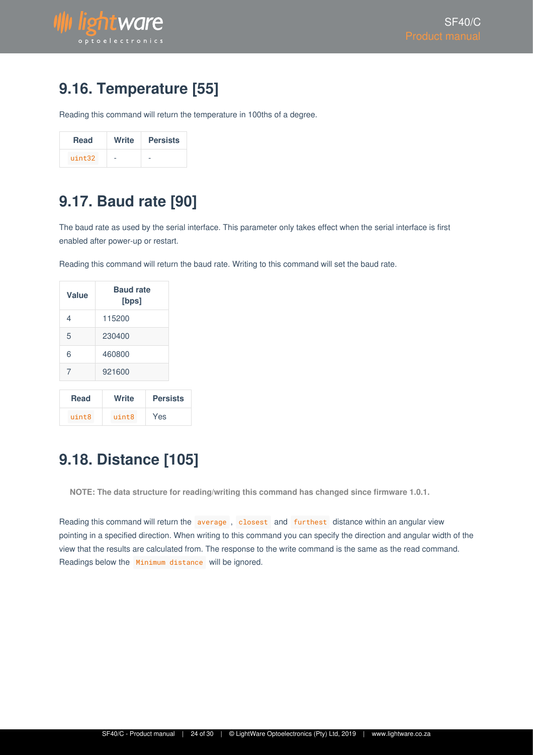

## <span id="page-23-0"></span>**9.16. Temperature [55]**

Reading this command will return the temperature in 100ths of a degree.

| <b>Read</b> | Write                    | <b>Persists</b> |
|-------------|--------------------------|-----------------|
| uint32      | $\overline{\phantom{a}}$ |                 |

### <span id="page-23-1"></span>**9.17. Baud rate [90]**

The baud rate as used by the serial interface. This parameter only takes effect when the serial interface is first enabled after power-up or restart.

Reading this command will return the baud rate. Writing to this command will set the baud rate.

| Value       | <b>Baud rate</b><br>[bps] |                 |
|-------------|---------------------------|-----------------|
| 4           | 115200                    |                 |
| 5           | 230400                    |                 |
| 6           | 460800                    |                 |
| 7           | 921600                    |                 |
| <b>Read</b> | Write                     | <b>Persists</b> |

uint8 uint8 Yes

# <span id="page-23-2"></span>**9.18. Distance [105]**

**NOTE: The data structure for reading/writing this command has changed since firmware 1.0.1.**

Reading this command will return the average, closest and furthest distance within an angular view pointing in a specified direction. When writing to this command you can specify the direction and angular width of the view that the results are calculated from. The response to the write command is the same as the read command. Readings below the Minimum distance will be ignored.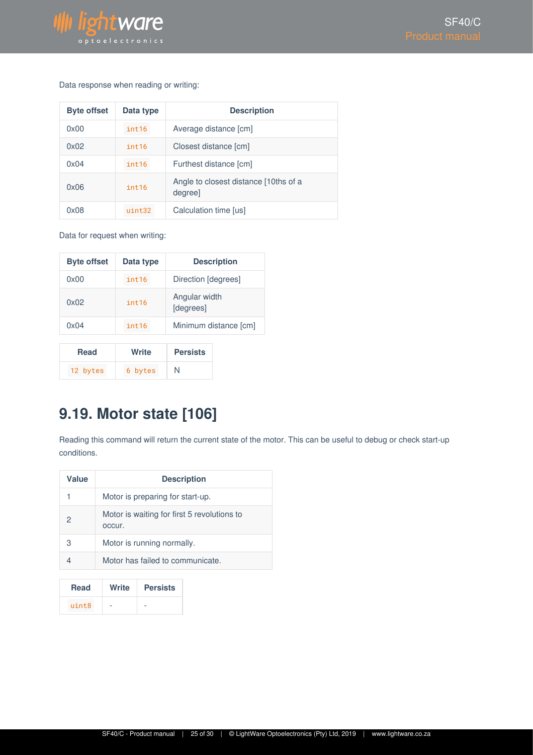

#### Data response when reading or writing:

| <b>Byte offset</b> | Data type | <b>Description</b>                              |
|--------------------|-----------|-------------------------------------------------|
| 0x00               | int16     | Average distance [cm]                           |
| 0x02               | int16     | Closest distance [cm]                           |
| 0x04               | int16     | Furthest distance [cm]                          |
| 0x06               | int16     | Angle to closest distance [10ths of a<br>degree |
| 0x08               | $11nt32$  | Calculation time [us]                           |

Data for request when writing:

| <b>Byte offset</b> | Data type         | <b>Description</b>         |
|--------------------|-------------------|----------------------------|
| 0x00               | int <sub>16</sub> | Direction [degrees]        |
| 0x02               | int16             | Angular width<br>[degrees] |
| 0x04               | int16             | Minimum distance [cm]      |

| <b>Read</b> | Write   | <b>Persists</b> |
|-------------|---------|-----------------|
| 12 bytes    | 6 bytes | N               |

### <span id="page-24-0"></span>**9.19. Motor state [106]**

Reading this command will return the current state of the motor. This can be useful to debug or check start-up conditions.

| Value | <b>Description</b>                                    |
|-------|-------------------------------------------------------|
|       | Motor is preparing for start-up.                      |
| 2     | Motor is waiting for first 5 revolutions to<br>occur. |
| З     | Motor is running normally.                            |
|       | Motor has failed to communicate.                      |

| <b>Read</b> | Write | <b>Persists</b> |
|-------------|-------|-----------------|
| uint8       |       |                 |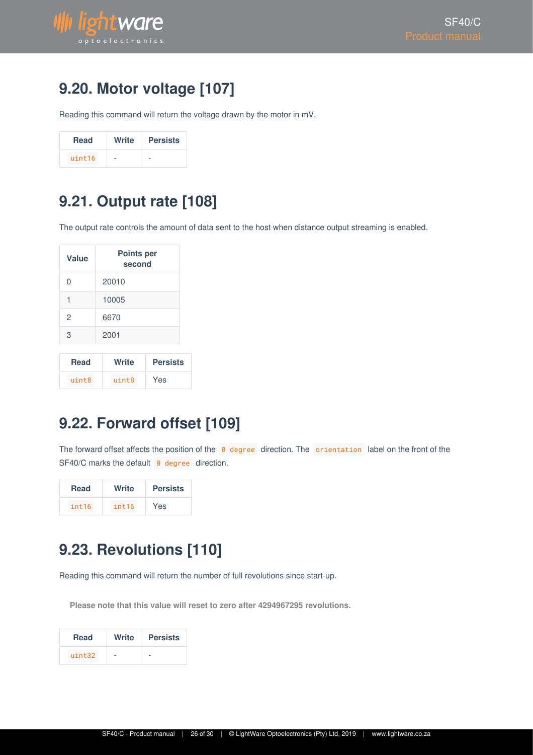

## <span id="page-25-0"></span>**9.20. Motor voltage [107]**

Reading this command will return the voltage drawn by the motor in mV.

| <b>Read</b> | Write | <b>Persists</b> |
|-------------|-------|-----------------|
| uint16      | -     |                 |

### <span id="page-25-1"></span>**9.21. Output rate [108]**

The output rate controls the amount of data sent to the host when distance output streaming is enabled.

| <b>Value</b> | <b>Points per</b><br>second |                 |  |
|--------------|-----------------------------|-----------------|--|
| 0            | 20010                       |                 |  |
| 1            | 10005                       |                 |  |
| 2            | 6670                        |                 |  |
| 3            | 2001                        |                 |  |
| Read         | Write                       | <b>Pareiete</b> |  |

| Read  | Write       | <b>Persists</b> |
|-------|-------------|-----------------|
| uintR | $u$ int $8$ | Yes             |

## <span id="page-25-2"></span>**9.22. Forward offset [109]**

The forward offset affects the position of the  $\theta$  degree direction. The orientation label on the front of the  $SF40/C$  marks the default  $\theta$  degree direction.

| <b>Read</b> | Write | <b>Persists</b> |
|-------------|-------|-----------------|
| int16       | int16 | Yes             |

## <span id="page-25-3"></span>**9.23. Revolutions [110]**

Reading this command will return the number of full revolutions since start-up.

**Please note that this value will reset to zero after 4294967295 revolutions.**

| <b>Read</b> | Write | <b>Persists</b> |
|-------------|-------|-----------------|
| uint32      |       |                 |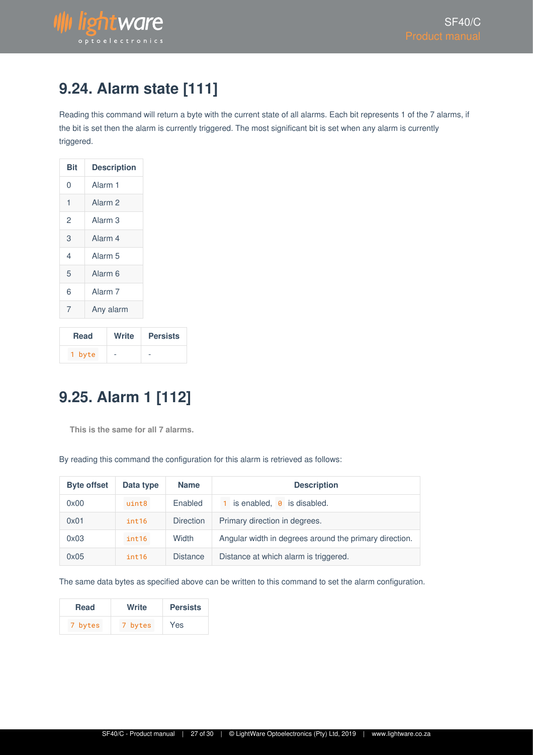

## <span id="page-26-0"></span>**9.24. Alarm state [111]**

Reading this command will return a byte with the current state of all alarms. Each bit represents 1 of the 7 alarms, if the bit is set then the alarm is currently triggered. The most significant bit is set when any alarm is currently triggered.

| Bit | <b>Description</b> |  |
|-----|--------------------|--|
| 0   | Alarm 1            |  |
| 1   | Alarm <sub>2</sub> |  |
| 2   | Alarm <sub>3</sub> |  |
| 3   | Alarm 4            |  |
| 4   | Alarm <sub>5</sub> |  |
| 5   | Alarm <sub>6</sub> |  |
| 6   | Alarm <sub>7</sub> |  |
| 7   | Any alarm          |  |

| <b>Read</b> | Write | <b>Persists</b> |
|-------------|-------|-----------------|
| 1 byte      | -     | -               |

# <span id="page-26-1"></span>**9.25. Alarm 1 [112]**

**This is the same for all 7 alarms.**

By reading this command the configuration for this alarm is retrieved as follows:

| <b>Byte offset</b> | Data type | <b>Name</b>      | <b>Description</b>                                     |
|--------------------|-----------|------------------|--------------------------------------------------------|
| 0x00               | uint8     | Enabled          | is enabled, $\theta$ is disabled.                      |
| 0x01               | int16     | <b>Direction</b> | Primary direction in degrees.                          |
| 0x03               | int16     | Width            | Angular width in degrees around the primary direction. |
| 0x05               | int16     | <b>Distance</b>  | Distance at which alarm is triggered.                  |

The same data bytes as specified above can be written to this command to set the alarm configuration.

| <b>Read</b> | Write   | <b>Persists</b> |
|-------------|---------|-----------------|
| 7 bytes     | 7 bytes | Yes             |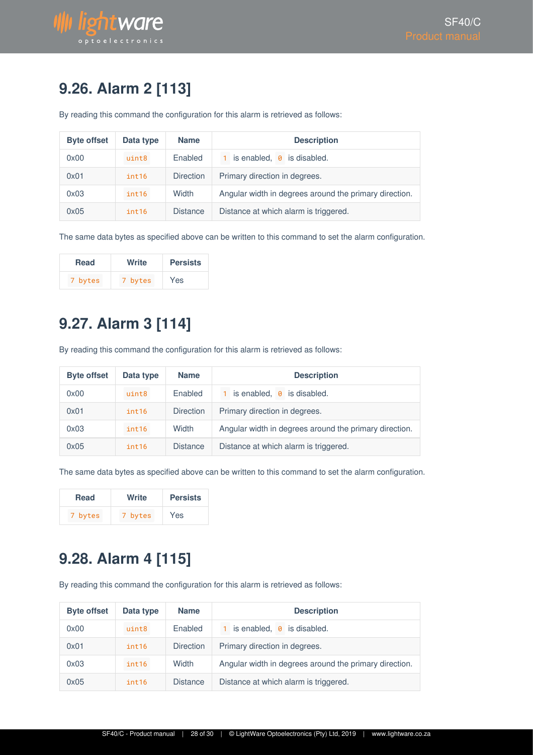# <span id="page-27-0"></span>**9.26. Alarm 2 [113]**

By reading this command the configuration for this alarm is retrieved as follows:

| <b>Byte offset</b> | Data type | <b>Name</b>      | <b>Description</b>                                     |
|--------------------|-----------|------------------|--------------------------------------------------------|
| 0x00               | uint8     | Enabled          | is enabled, $\theta$ is disabled.                      |
| 0x01               | int16     | <b>Direction</b> | Primary direction in degrees.                          |
| 0x03               | int16     | Width            | Angular width in degrees around the primary direction. |
| 0x05               | int16     | <b>Distance</b>  | Distance at which alarm is triggered.                  |

The same data bytes as specified above can be written to this command to set the alarm configuration.

| Read    | Write   | <b>Persists</b> |
|---------|---------|-----------------|
| 7 bytes | 7 bytes | Yes             |

# <span id="page-27-1"></span>**9.27. Alarm 3 [114]**

By reading this command the configuration for this alarm is retrieved as follows:

| <b>Byte offset</b> | Data type | <b>Name</b>      | <b>Description</b>                                     |
|--------------------|-----------|------------------|--------------------------------------------------------|
| 0x00               | uint8     | Enabled          | is enabled, $\theta$ is disabled.                      |
| 0x01               | int16     | <b>Direction</b> | Primary direction in degrees.                          |
| 0x03               | int16     | Width            | Angular width in degrees around the primary direction. |
| 0x05               | int16     | <b>Distance</b>  | Distance at which alarm is triggered.                  |

The same data bytes as specified above can be written to this command to set the alarm configuration.

| Read    | Write   | <b>Persists</b> |
|---------|---------|-----------------|
| 7 bytes | 7 bytes | Yes             |

### <span id="page-27-2"></span>**9.28. Alarm 4 [115]**

By reading this command the configuration for this alarm is retrieved as follows:

| <b>Byte offset</b> | Data type | <b>Name</b>      | <b>Description</b>                                     |  |
|--------------------|-----------|------------------|--------------------------------------------------------|--|
| 0x00               | uint8     | Enabled          | is enabled, $\theta$ is disabled.                      |  |
| 0x01               | int16     | <b>Direction</b> | Primary direction in degrees.                          |  |
| 0x03               | int16     | Width            | Angular width in degrees around the primary direction. |  |
| 0x05               | int16     | <b>Distance</b>  | Distance at which alarm is triggered.                  |  |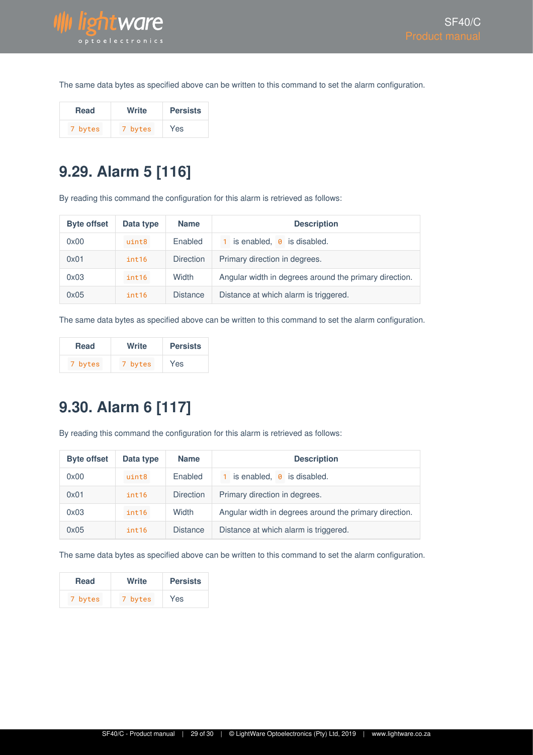

The same data bytes as specified above can be written to this command to set the alarm configuration.

| Read    | Write   | <b>Persists</b> |
|---------|---------|-----------------|
| 7 bytes | 7 bytes | Yes             |

# <span id="page-28-0"></span>**9.29. Alarm 5 [116]**

By reading this command the configuration for this alarm is retrieved as follows:

| <b>Byte offset</b> | Data type | <b>Name</b>      | <b>Description</b>                                     |  |
|--------------------|-----------|------------------|--------------------------------------------------------|--|
| 0x00               | uint8     | Enabled          | is enabled, $\theta$ is disabled.                      |  |
| 0x01               | int16     | <b>Direction</b> | Primary direction in degrees.                          |  |
| 0x03               | int16     | Width            | Angular width in degrees around the primary direction. |  |
| 0x05               | int16     | <b>Distance</b>  | Distance at which alarm is triggered.                  |  |

The same data bytes as specified above can be written to this command to set the alarm configuration.

| <b>Read</b> | Write   | <b>Persists</b> |
|-------------|---------|-----------------|
| 7 bytes     | 7 bytes | Yes             |

# <span id="page-28-1"></span>**9.30. Alarm 6 [117]**

By reading this command the configuration for this alarm is retrieved as follows:

| <b>Byte offset</b> | Data type | <b>Name</b>      | <b>Description</b>                                     |  |
|--------------------|-----------|------------------|--------------------------------------------------------|--|
| 0x00               | uint8     | Enabled          | 1 is enabled, 0 is disabled.                           |  |
| 0x01               | int16     | <b>Direction</b> | Primary direction in degrees.                          |  |
| 0x03               | int16     | Width            | Angular width in degrees around the primary direction. |  |
| 0x05               | int16     | <b>Distance</b>  | Distance at which alarm is triggered.                  |  |

The same data bytes as specified above can be written to this command to set the alarm configuration.

| <b>Read</b> | Write   | <b>Persists</b> |
|-------------|---------|-----------------|
| 7 bytes     | 7 bytes | Yes             |